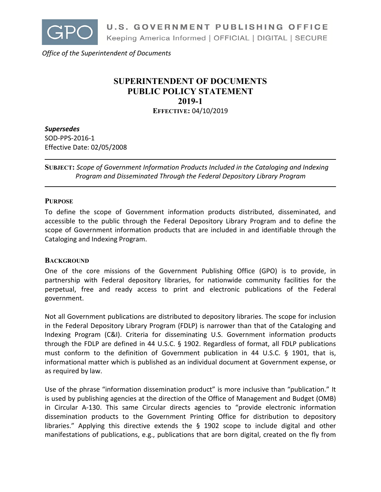

*Office of the Superintendent of Documents*

# **SUPERINTENDENT OF DOCUMENTS PUBLIC POLICY STATEMENT 2019-1 EFFECTIVE:** 04/10/2019

*Supersedes*

SOD-PPS-2016-1 Effective Date: 02/05/2008

**SUBJECT:** *Scope of Government Information Products Included in the Cataloging and Indexing Program and Disseminated Through the Federal Depository Library Program*

# **PURPOSE**

To define the scope of Government information products distributed, disseminated, and accessible to the public through the Federal Depository Library Program and to define the scope of Government information products that are included in and identifiable through the Cataloging and Indexing Program.

# **BACKGROUND**

One of the core missions of the Government Publishing Office (GPO) is to provide, in partnership with Federal depository libraries, for nationwide community facilities for the perpetual, free and ready access to print and electronic publications of the Federal government.

Not all Government publications are distributed to depository libraries. The scope for inclusion in the Federal Depository Library Program (FDLP) is narrower than that of the Cataloging and Indexing Program (C&I). Criteria for disseminating U.S. Government information products through the FDLP are defined in 44 U.S.C. § 1902. Regardless of format, all FDLP publications must conform to the definition of Government publication in 44 U.S.C. § 1901, that is, informational matter which is published as an individual document at Government expense, or as required by law.

Use of the phrase "information dissemination product" is more inclusive than "publication." It is used by publishing agencies at the direction of the Office of Management and Budget (OMB) in Circular A-130. This same Circular directs agencies to "provide electronic information dissemination products to the Government Printing Office for distribution to depository libraries." Applying this directive extends the § 1902 scope to include digital and other manifestations of publications, e.g., publications that are born digital, created on the fly from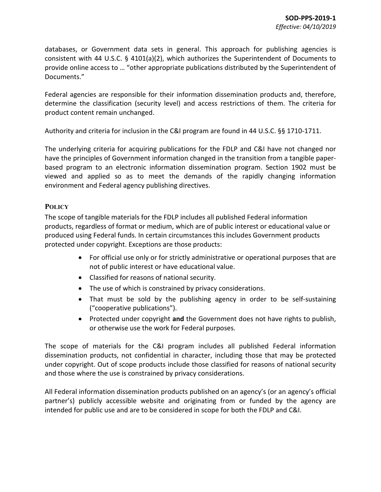databases, or Government data sets in general. This approach for publishing agencies is consistent with 44 U.S.C.  $\S$  4101(a)(2), which authorizes the Superintendent of Documents to provide online access to … "other appropriate publications distributed by the Superintendent of Documents."

Federal agencies are responsible for their information dissemination products and, therefore, determine the classification (security level) and access restrictions of them. The criteria for product content remain unchanged.

Authority and criteria for inclusion in the C&I program are found in 44 U.S.C. §§ 1710-1711.

The underlying criteria for acquiring publications for the FDLP and C&I have not changed nor have the principles of Government information changed in the transition from a tangible paperbased program to an electronic information dissemination program. Section 1902 must be viewed and applied so as to meet the demands of the rapidly changing information environment and Federal agency publishing directives.

# **POLICY**

The scope of tangible materials for the FDLP includes all published Federal information products, regardless of format or medium, which are of public interest or educational value or produced using Federal funds. In certain circumstances this includes Government products protected under copyright. Exceptions are those products:

- For official use only or for strictly administrative or operational purposes that are not of public interest or have educational value.
- Classified for reasons of national security.
- The use of which is constrained by privacy considerations.
- That must be sold by the publishing agency in order to be self-sustaining ("cooperative publications").
- Protected under copyright **and** the Government does not have rights to publish, or otherwise use the work for Federal purposes.

The scope of materials for the C&I program includes all published Federal information dissemination products, not confidential in character, including those that may be protected under copyright. Out of scope products include those classified for reasons of national security and those where the use is constrained by privacy considerations.

All Federal information dissemination products published on an agency's (or an agency's official partner's) publicly accessible website and originating from or funded by the agency are intended for public use and are to be considered in scope for both the FDLP and C&I.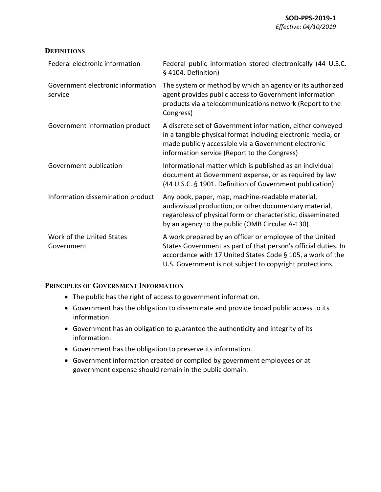## **DEFINITIONS**

| Federal electronic information               | Federal public information stored electronically (44 U.S.C.<br>§ 4104. Definition)                                                                                                                                                                  |
|----------------------------------------------|-----------------------------------------------------------------------------------------------------------------------------------------------------------------------------------------------------------------------------------------------------|
| Government electronic information<br>service | The system or method by which an agency or its authorized<br>agent provides public access to Government information<br>products via a telecommunications network (Report to the<br>Congress)                                                        |
| Government information product               | A discrete set of Government information, either conveyed<br>in a tangible physical format including electronic media, or<br>made publicly accessible via a Government electronic<br>information service (Report to the Congress)                   |
| Government publication                       | Informational matter which is published as an individual<br>document at Government expense, or as required by law<br>(44 U.S.C. § 1901. Definition of Government publication)                                                                       |
| Information dissemination product            | Any book, paper, map, machine-readable material,<br>audiovisual production, or other documentary material,<br>regardless of physical form or characteristic, disseminated<br>by an agency to the public (OMB Circular A-130)                        |
| Work of the United States<br>Government      | A work prepared by an officer or employee of the United<br>States Government as part of that person's official duties. In<br>accordance with 17 United States Code § 105, a work of the<br>U.S. Government is not subject to copyright protections. |

### **PRINCIPLES OF GOVERNMENT INFORMATION**

- The public has the right of access to government information.
- Government has the obligation to disseminate and provide broad public access to its information.
- Government has an obligation to guarantee the authenticity and integrity of its information.
- Government has the obligation to preserve its information.
- Government information created or compiled by government employees or at government expense should remain in the public domain.